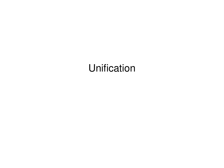# Unification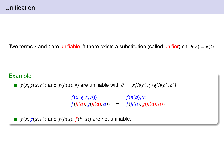Two terms *s* and *t* are unifiable iff there exists a substitution (called unifier) s.t.  $\theta(s) = \theta(t)$ .

## Example

*f*(*x*, *g*(*x*, *a*)) and *f*(*h*(*a*), *y*) are unifiable with  $\theta = \{x/h(a), y/g(h(a), a)\}$ 

 $f(x, g(x, a)) \neq f(h(a), y)$ <br> $f(h(a), g(h(a), a)) = f(h(a), g(a))$  $f(h(a), g(h(a), a)) = f(h(a), g(h(a), a))$ 

*f*( $x, g(x, a)$ ) and  $f(h(a), f(b, a))$  are not unifiable.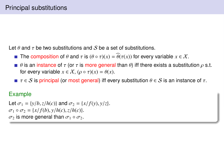Let  $\theta$  and  $\tau$  be two substitutions and S be a set of substitutions.

- The composition of  $\theta$  and  $\tau$  is  $(\theta \circ \tau)(x) = \widehat{\theta}(\tau(x))$  for every variable  $x \in \mathcal{X}$ .
- $\theta$  is an instance of τ (or τ is more general than θ) iff there exists a substitution  $\rho$  s.t. for every variable  $x \in \mathcal{X}$ ,  $(\rho \circ \tau)(x) = \theta(x)$ .
- $\tau \in S$  is principal (or most general) iff every substitution  $\theta \in S$  is an instance of  $\tau$ .

#### Example

Let  $\sigma_1 = \{y/b, z/h(c)\}$  and  $\sigma_2 = \{x/f(y), y/z\}$ .  $\sigma_1 \circ \sigma_2 = \{x/f(b), y/h(c), z/h(c)\}.$  $\sigma_2$  is more general than  $\sigma_1 \circ \sigma_2$ .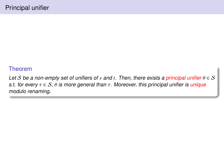#### Theorem

Let S be a non-empty set of unifiers of *s* and *t*. Then, there exists a principal unifier  $\theta \in S$ s.t. for every  $\tau \in \mathcal{S}$ ,  $\theta$  is more general than  $\tau$ . Moreover, this principal unifier is unique modulo renaming.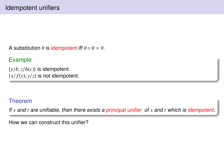A substitution  $\theta$  is idempotent iff  $\theta \circ \theta = \theta$ .

# Example

 $\{y/b, z/h(c)\}\$ is idempotent.  ${x/f(y), y/z}$  is not idempotent.

# Theorem

If *s* and *t* are unifiable, then there exists a principal unifier of *s* and *t* which is idempotent.

How we can construct this unifier?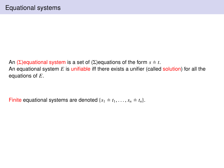An ( $\Sigma$ )equational system is a set of ( $\Sigma$ )equations of the form  $s \doteq t$ . An equational system *E* is unifiable iff there exists a unifier (called solution) for all the equations of *E*.

Finite equational systems are denoted  $\{s_1 \doteq t_1, \ldots, s_n \doteq t_n\}$ .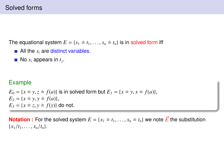## Solved forms

The equational system  $E = \{s_1 \neq t_1, \ldots, s_n \neq t_n\}$  is in solved form iff

- $\blacksquare$  All the  $s_i$  are distinct variables.
- No *s<sup>i</sup>* appears in *t<sup>j</sup>* .

#### Example

 $E_0 = \{x \pm y, z \pm f(a)\}\$ is in solved form but  $E_1 = \{x \pm y, x \pm f(a)\}\$ ,  $E_2 = \{x \pm y, y \pm f(a)\},\$  $E_3 = \{x \pm z, y \pm f(y)\}\$ do not.

**Notation :** For the solved system  $E = \{x_1 = t_1, \ldots, x_n = t_n\}$  we note  $\vec{E}$  the substitution  ${x_1/t_1, \ldots, x_n/t_n}.$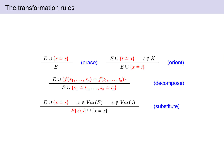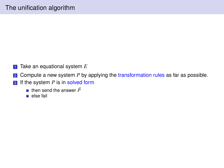- **1** Take an equational system E
- **2** Compute a new system *P* by applying the transformation rules as far as possible.
- **3** If the system *P* is in solved form
	- **then send the answer**  $\vec{P}$
	- else fail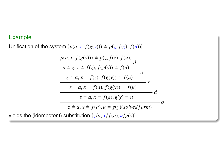#### Example

Unification of the system  $\{p(a, x, f(g(y))) \doteq p(z, f(z), f(u))\}$ 

$$
\frac{p(a, x, f(g(y))) \doteq p(z, f(z), f(u))}{a \doteq z, x \doteq f(z), f(g(y)) \doteq f(u)} d
$$
\n
$$
\frac{z \doteq a, x \doteq f(z), f(g(y)) \doteq f(u)}{z \doteq a, x \doteq f(a), f(g(y)) \doteq f(u)}
$$
\n
$$
z \doteq a, x \doteq f(a), g(y) \doteq u
$$
\n
$$
z \doteq a, x \doteq f(a), u \doteq g(y)(solved form)
$$
\n
$$
t = t
$$
\n
$$
t = t
$$
\n
$$
t = t
$$
\n
$$
t = t
$$
\n
$$
t = t
$$
\n
$$
t = t
$$
\n
$$
t = t
$$
\n
$$
t = t
$$
\n
$$
t = t
$$
\n
$$
t = t
$$
\n
$$
t = t
$$
\n
$$
t = t
$$
\n
$$
t = t
$$
\n
$$
t = t
$$
\n
$$
t = t
$$
\n
$$
t = t
$$
\n
$$
t = t
$$
\n
$$
t = t
$$
\n
$$
t = t
$$
\n
$$
t = t
$$
\n
$$
t = t
$$
\n
$$
t = t
$$
\n
$$
t = t
$$
\n
$$
t = t
$$
\n
$$
t = t
$$
\n
$$
t = t
$$
\n
$$
t = t
$$
\n
$$
t = t
$$
\n
$$
t = t
$$
\n
$$
t = t
$$
\n
$$
t = t
$$
\n
$$
t = t
$$
\n
$$
t = t
$$
\n
$$
t = t
$$
\n
$$
t = t
$$
\n
$$
t = t
$$
\n
$$
t = t
$$
\n
$$
t = t
$$
\n
$$
t = t
$$
\n
$$
t = t
$$
\n
$$
t = t
$$
\n
$$
t = t
$$
\n
$$
t = t
$$
\n
$$
t = t
$$

yields the (idempotent) substitution  $\{z/a, x/f(a), u/g(y)\}.$